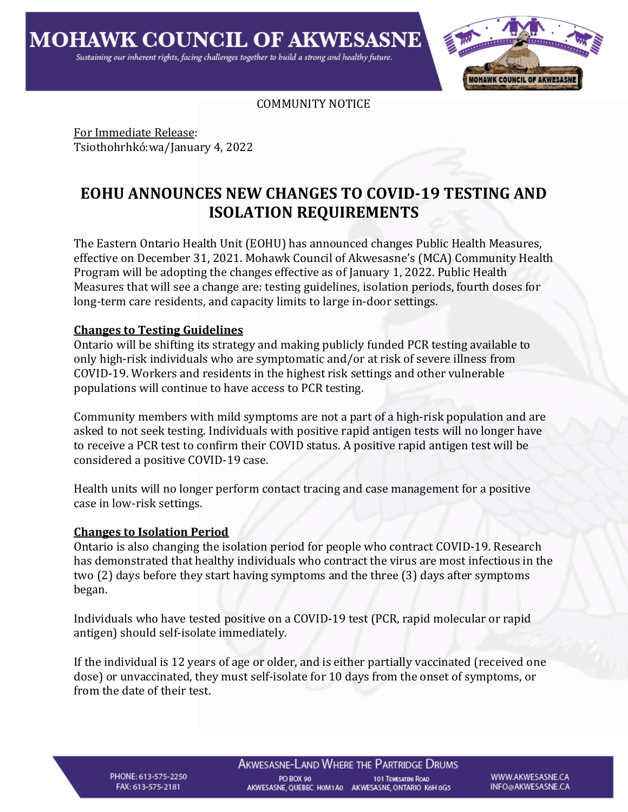

COMMUNITY NOTICE

For Immediate Release: Tsiothohrhkó:wa/January 4, 2022

# **EOHU ANNOUNCES NEW CHANGES TO COVID-19 TESTING AND ISOLATION REQUIREMENTS**

The Eastern Ontario Health Unit (EOHU) has announced changes Public Health Measures, effective on December 31, 2021. Mohawk Council of Akwesasne's (MCA) Community Health Program will be adopting the changes effective as of January 1, 2022. Public Health Measures that will see a change are: testing guidelines, isolation periods, fourth doses for long-term care residents, and capacity limits to large in-door settings.

## **Changes to Testing Guidelines**

Ontario will be shifting its strategy and making publicly funded PCR testing available to only high-risk individuals who are symptomatic and/or at risk of severe illness from COVID-19. Workers and residents in the highest risk settings and other vulnerable populations will continue to have access to PCR testing.

Community members with mild symptoms are not a part of a high-risk population and are asked to not seek testing. Individuals with positive rapid antigen tests will no longer have to receive a PCR test to confirm their COVID status. A positive rapid antigen test will be considered a positive COVID-19 case.

Health units will no longer perform contact tracing and case management for a positive case in low-risk settings.

### **Changes to Isolation Period**

Ontario is also changing the isolation period for people who contract COVID-19. Research has demonstrated that healthy individuals who contract the virus are most infectious in the two (2) days before they start having symptoms and the three (3) days after symptoms began.

Individuals who have tested positive on a COVID-19 test (PCR, rapid molecular or rapid antigen) should self-isolate immediately.

If the individual is 12 years of age or older, and is either partially vaccinated (received one dose) or unvaccinated, they must self-isolate for 10 days from the onset of symptoms, or from the date of their test.

PHONE: 613-575-2250 FAX: 613-575-2181